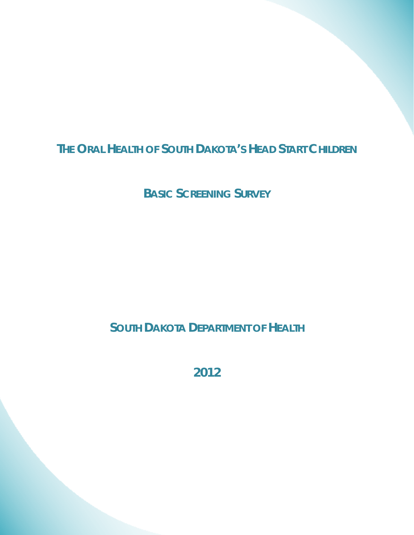# **THE ORAL HEALTH OF SOUTH DAKOTA'S HEAD START CHILDREN**

**BASIC SCREENING SURVEY**

**SOUTH DAKOTA DEPARTMENT OF HEALTH** 

**2012**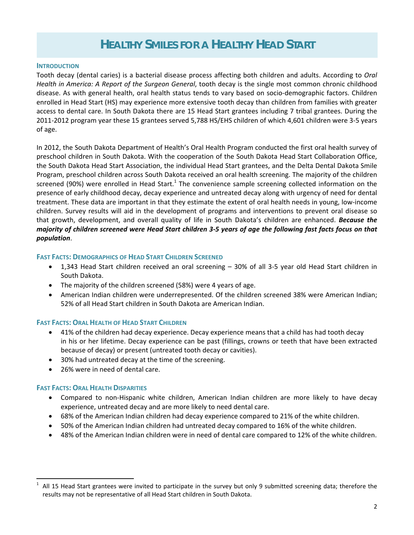## **HEALTHY SMILES FOR A HEALTHY HEAD START**

#### **INTRODUCTION**

Tooth decay (dental caries) is a bacterial disease process affecting both children and adults. According to *Oral Health in America: A Report of the Surgeon General*, tooth decay is the single most common chronic childhood disease. As with general health, oral health status tends to vary based on socio‐demographic factors. Children enrolled in Head Start (HS) may experience more extensive tooth decay than children from families with greater access to dental care. In South Dakota there are 15 Head Start grantees including 7 tribal grantees. During the 2011‐2012 program year these 15 grantees served 5,788 HS/EHS children of which 4,601 children were 3‐5 years of age.

In 2012, the South Dakota Department of Health's Oral Health Program conducted the first oral health survey of preschool children in South Dakota. With the cooperation of the South Dakota Head Start Collaboration Office, the South Dakota Head Start Association, the individual Head Start grantees, and the Delta Dental Dakota Smile Program, preschool children across South Dakota received an oral health screening. The majority of the children screened (90%) were enrolled in Head Start.<sup>1</sup> The convenience sample screening collected information on the presence of early childhood decay, decay experience and untreated decay along with urgency of need for dental treatment. These data are important in that they estimate the extent of oral health needs in young, low‐income children. Survey results will aid in the development of programs and interventions to prevent oral disease so that growth, development, and overall quality of life in South Dakota's children are enhanced. *Because the* majority of children screened were Head Start children 3-5 years of age the following fast facts focus on that *population*.

#### **FAST FACTS: DEMOGRAPHICS OF HEAD START CHILDREN SCREENED**

- 1,343 Head Start children received an oral screening 30% of all 3-5 year old Head Start children in South Dakota.
- The majority of the children screened (58%) were 4 years of age.
- American Indian children were underrepresented. Of the children screened 38% were American Indian; 52% of all Head Start children in South Dakota are American Indian.

#### **FAST FACTS: ORAL HEALTH OF HEAD START CHILDREN**

- 41% of the children had decay experience. Decay experience means that a child has had tooth decay in his or her lifetime. Decay experience can be past (fillings, crowns or teeth that have been extracted because of decay) or present (untreated tooth decay or cavities).
- 30% had untreated decay at the time of the screening.
- 26% were in need of dental care.

#### **FAST FACTS: ORAL HEALTH DISPARITIES**

 $\overline{a}$ 

- Compared to non‐Hispanic white children, American Indian children are more likely to have decay experience, untreated decay and are more likely to need dental care.
- 68% of the American Indian children had decay experience compared to 21% of the white children.
- 50% of the American Indian children had untreated decay compared to 16% of the white children.
- 48% of the American Indian children were in need of dental care compared to 12% of the white children.

<sup>1</sup> All 15 Head Start grantees were invited to participate in the survey but only 9 submitted screening data; therefore the results may not be representative of all Head Start children in South Dakota.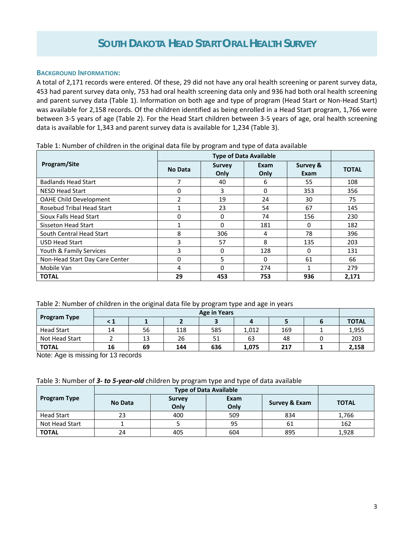#### **BACKGROUND INFORMATION:**

A total of 2,171 records were entered. Of these, 29 did not have any oral health screening or parent survey data, 453 had parent survey data only, 753 had oral health screening data only and 936 had both oral health screening and parent survey data (Table 1). Information on both age and type of program (Head Start or Non‐Head Start) was available for 2,158 records. Of the children identified as being enrolled in a Head Start program, 1,766 were between 3‐5 years of age (Table 2). For the Head Start children between 3‐5 years of age, oral health screening data is available for 1,343 and parent survey data is available for 1,234 (Table 3).

| Program/Site                   | No Data                  | <b>Survey</b><br>Only | Exam<br>Only | Survey &<br>Exam | <b>TOTAL</b> |
|--------------------------------|--------------------------|-----------------------|--------------|------------------|--------------|
| <b>Badlands Head Start</b>     |                          | 40                    | 6            | 55               | 108          |
| <b>NESD Head Start</b>         | 0                        | 3                     | 0            | 353              | 356          |
| <b>OAHE Child Development</b>  | $\overline{\phantom{a}}$ | 19                    | 24           | 30               | 75           |
| Rosebud Tribal Head Start      |                          | 23                    | 54           | 67               | 145          |
| Sioux Falls Head Start         | 0                        | 0                     | 74           | 156              | 230          |
| Sisseton Head Start            |                          | 0                     | 181          | 0                | 182          |
| South Central Head Start       | 8                        | 306                   | 4            | 78               | 396          |
| <b>USD Head Start</b>          | 3                        | 57                    | 8            | 135              | 203          |
| Youth & Family Services        | 3                        | $\Omega$              | 128          | 0                | 131          |
| Non-Head Start Day Care Center | 0                        | 5                     | $\Omega$     | 61               | 66           |
| Mobile Van                     | 4                        | $\Omega$              | 274          |                  | 279          |
| <b>TOTAL</b>                   | 29                       | 453                   | 753          | 936              | 2,171        |

Table 1: Number of children in the original data file by program and type of data available

#### Table 2: Number of children in the original data file by program type and age in years

|                     | <b>Age in Years</b> |    |     |     |       |     |  |              |
|---------------------|---------------------|----|-----|-----|-------|-----|--|--------------|
| <b>Program Type</b> | < 1                 |    |     |     |       |     |  | <b>TOTAL</b> |
| <b>Head Start</b>   | 14                  | 56 | 118 | 585 | 1,012 | 169 |  | 1,955        |
| Not Head Start      |                     | 13 | 26  | 51  | 63    | 48  |  | 203          |
| <b>TOTAL</b>        | 16                  | 69 | 144 | 636 | 1,075 | 217 |  | 2,158        |

Note: Age is missing for 13 records

| Table 3: Number of 3- to 5-year-old children by program type and type of data available |  |
|-----------------------------------------------------------------------------------------|--|
|-----------------------------------------------------------------------------------------|--|

| <b>Program Type</b> | No Data | <b>Survey</b><br>Only | Exam<br>Only | Survey & Exam | <b>TOTAL</b> |
|---------------------|---------|-----------------------|--------------|---------------|--------------|
| <b>Head Start</b>   | 23      | 400                   | 509          | 834           | 1,766        |
| Not Head Start      |         |                       | 95           | 61            | 162          |
| <b>TOTAL</b>        | 24      | 405                   | 604          | 895           | 1,928        |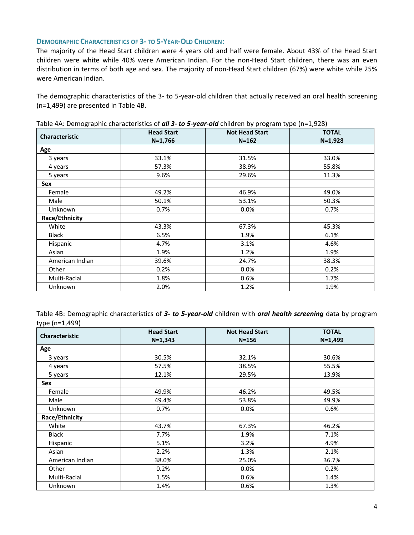#### **DEMOGRAPHIC CHARACTERISTICS OF 3‐ TO 5‐YEAR‐OLD CHILDREN:**

The majority of the Head Start children were 4 years old and half were female. About 43% of the Head Start children were white while 40% were American Indian. For the non‐Head Start children, there was an even distribution in terms of both age and sex. The majority of non‐Head Start children (67%) were white while 25% were American Indian.

The demographic characteristics of the 3- to 5-year-old children that actually received an oral health screening (n=1,499) are presented in Table 4B.

| Characteristic  | <b>Head Start</b><br>$N=1,766$ | <b>Not Head Start</b><br>$N = 162$ | <b>TOTAL</b><br>$N=1,928$ |
|-----------------|--------------------------------|------------------------------------|---------------------------|
| Age             |                                |                                    |                           |
| 3 years         | 33.1%                          | 31.5%                              | 33.0%                     |
| 4 years         | 57.3%                          | 38.9%                              | 55.8%                     |
| 5 years         | 9.6%                           | 29.6%                              | 11.3%                     |
| Sex             |                                |                                    |                           |
| Female          | 49.2%                          | 46.9%                              | 49.0%                     |
| Male            | 50.1%                          | 53.1%                              | 50.3%                     |
| Unknown         | 0.7%                           | 0.0%                               | 0.7%                      |
| Race/Ethnicity  |                                |                                    |                           |
| White           | 43.3%                          | 67.3%                              | 45.3%                     |
| Black           | 6.5%                           | 1.9%                               | 6.1%                      |
| Hispanic        | 4.7%                           | 3.1%                               | 4.6%                      |
| Asian           | 1.9%                           | 1.2%                               | 1.9%                      |
| American Indian | 39.6%                          | 24.7%                              | 38.3%                     |
| Other           | 0.2%                           | 0.0%                               | 0.2%                      |
| Multi-Racial    | 1.8%                           | 0.6%                               | 1.7%                      |
| Unknown         | 2.0%                           | 1.2%                               | 1.9%                      |

Table 4A: Demographic characteristics of *all 3‐ to 5‐year‐old* children by program type (n=1,928)

Table 4B: Demographic characteristics of *3‐ to 5‐year‐old* children with *oral health screening* data by program type (n=1,499)

| <b>Characteristic</b> | <b>Head Start</b> | <b>Not Head Start</b> | <b>TOTAL</b> |
|-----------------------|-------------------|-----------------------|--------------|
|                       | $N=1,343$         | $N = 156$             | $N=1,499$    |
| Age                   |                   |                       |              |
| 3 years               | 30.5%             | 32.1%                 | 30.6%        |
| 4 years               | 57.5%             | 38.5%                 | 55.5%        |
| 5 years               | 12.1%             | 29.5%                 | 13.9%        |
| Sex                   |                   |                       |              |
| Female                | 49.9%             | 46.2%                 | 49.5%        |
| Male                  | 49.4%             | 53.8%                 | 49.9%        |
| <b>Unknown</b>        | 0.7%              | 0.0%                  | 0.6%         |
| Race/Ethnicity        |                   |                       |              |
| White                 | 43.7%             | 67.3%                 | 46.2%        |
| <b>Black</b>          | 7.7%              | 1.9%                  | 7.1%         |
| Hispanic              | 5.1%              | 3.2%                  | 4.9%         |
| Asian                 | 2.2%              | 1.3%                  | 2.1%         |
| American Indian       | 38.0%             | 25.0%                 | 36.7%        |
| Other                 | 0.2%              | 0.0%                  | 0.2%         |
| Multi-Racial          | 1.5%              | 0.6%                  | 1.4%         |
| Unknown               | 1.4%              | 0.6%                  | 1.3%         |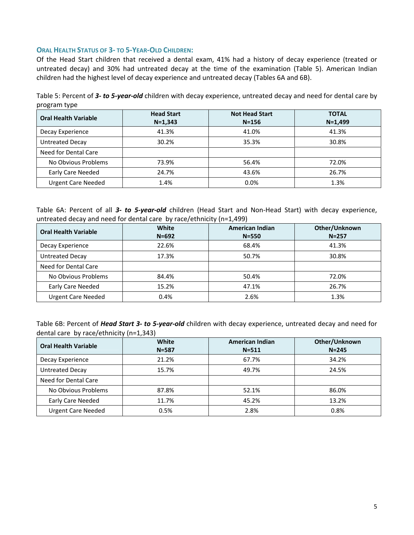#### **ORAL HEALTH STATUS OF 3‐ TO 5‐YEAR‐OLD CHILDREN:**

Of the Head Start children that received a dental exam, 41% had a history of decay experience (treated or untreated decay) and 30% had untreated decay at the time of the examination (Table 5). American Indian children had the highest level of decay experience and untreated decay (Tables 6A and 6B).

Table 5: Percent of *3‐ to 5‐year‐old* children with decay experience, untreated decay and need for dental care by program type

| <b>Oral Health Variable</b> | <b>Head Start</b><br>$N = 1,343$ | <b>Not Head Start</b><br>$N = 156$ | <b>TOTAL</b><br>$N = 1,499$ |
|-----------------------------|----------------------------------|------------------------------------|-----------------------------|
| Decay Experience            | 41.3%                            | 41.0%                              | 41.3%                       |
| <b>Untreated Decay</b>      | 30.2%                            | 35.3%                              | 30.8%                       |
| Need for Dental Care        |                                  |                                    |                             |
| No Obvious Problems         | 73.9%                            | 56.4%                              | 72.0%                       |
| Early Care Needed           | 24.7%                            | 43.6%                              | 26.7%                       |
| <b>Urgent Care Needed</b>   | 1.4%                             | 0.0%                               | 1.3%                        |

Table 6A: Percent of all 3- to 5-year-old children (Head Start and Non-Head Start) with decay experience, untreated decay and need for dental care by race/ethnicity (n=1,499)

| <b>Oral Health Variable</b> | <b>White</b><br>$N = 692$ | <b>American Indian</b><br>$N = 550$ | Other/Unknown<br>$N = 257$ |
|-----------------------------|---------------------------|-------------------------------------|----------------------------|
| Decay Experience            | 22.6%                     | 68.4%                               | 41.3%                      |
| <b>Untreated Decay</b>      | 17.3%                     | 50.7%                               | 30.8%                      |
| Need for Dental Care        |                           |                                     |                            |
| No Obvious Problems         | 84.4%                     | 50.4%                               | 72.0%                      |
| Early Care Needed           | 15.2%                     | 47.1%                               | 26.7%                      |
| <b>Urgent Care Needed</b>   | 0.4%                      | 2.6%                                | 1.3%                       |

| Table 6B: Percent of <i>Head Start 3- to 5-year-old</i> children with decay experience, untreated decay and need for |  |  |
|----------------------------------------------------------------------------------------------------------------------|--|--|
| dental care by race/ethnicity ( $n=1,343$ )                                                                          |  |  |

| <b>Oral Health Variable</b> | White<br>$N = 587$ | <b>American Indian</b><br>$N = 511$ | Other/Unknown<br>$N = 245$ |
|-----------------------------|--------------------|-------------------------------------|----------------------------|
| Decay Experience            | 21.2%              | 67.7%                               | 34.2%                      |
| <b>Untreated Decay</b>      | 15.7%              | 49.7%                               | 24.5%                      |
| Need for Dental Care        |                    |                                     |                            |
| No Obvious Problems         | 87.8%              | 52.1%                               | 86.0%                      |
| Early Care Needed           | 11.7%              | 45.2%                               | 13.2%                      |
| <b>Urgent Care Needed</b>   | 0.5%               | 2.8%                                | 0.8%                       |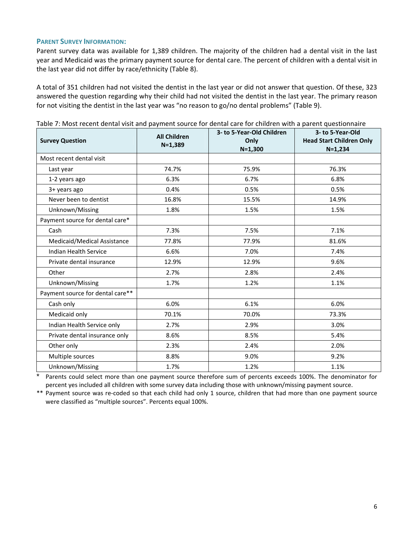#### **PARENT SURVEY INFORMATION:**

Parent survey data was available for 1,389 children. The majority of the children had a dental visit in the last year and Medicaid was the primary payment source for dental care. The percent of children with a dental visit in the last year did not differ by race/ethnicity (Table 8).

A total of 351 children had not visited the dentist in the last year or did not answer that question. Of these, 323 answered the question regarding why their child had not visited the dentist in the last year. The primary reason for not visiting the dentist in the last year was "no reason to go/no dental problems" (Table 9).

| <b>Survey Question</b>           | <b>All Children</b><br>$N=1,389$ | 3- to 5-Year-Old Children<br>Only<br>$N=1,300$ | 3- to 5-Year-Old<br><b>Head Start Children Only</b><br>$N=1,234$ |
|----------------------------------|----------------------------------|------------------------------------------------|------------------------------------------------------------------|
| Most recent dental visit         |                                  |                                                |                                                                  |
| Last year                        | 74.7%                            | 75.9%                                          | 76.3%                                                            |
| 1-2 years ago                    | 6.3%                             | 6.7%                                           | 6.8%                                                             |
| 3+ years ago                     | 0.4%                             | 0.5%                                           | 0.5%                                                             |
| Never been to dentist            | 16.8%                            | 15.5%                                          | 14.9%                                                            |
| Unknown/Missing                  | 1.8%                             | 1.5%                                           | 1.5%                                                             |
| Payment source for dental care*  |                                  |                                                |                                                                  |
| Cash                             | 7.3%                             | 7.5%                                           | 7.1%                                                             |
| Medicaid/Medical Assistance      | 77.8%                            | 77.9%                                          | 81.6%                                                            |
| Indian Health Service            | 6.6%                             | 7.0%                                           | 7.4%                                                             |
| Private dental insurance         | 12.9%                            | 12.9%                                          | 9.6%                                                             |
| Other                            | 2.7%                             | 2.8%                                           | 2.4%                                                             |
| Unknown/Missing                  | 1.7%                             | 1.2%                                           | 1.1%                                                             |
| Payment source for dental care** |                                  |                                                |                                                                  |
| Cash only                        | 6.0%                             | 6.1%                                           | 6.0%                                                             |
| Medicaid only                    | 70.1%                            | 70.0%                                          | 73.3%                                                            |
| Indian Health Service only       | 2.7%                             | 2.9%                                           | 3.0%                                                             |
| Private dental insurance only    | 8.6%                             | 8.5%                                           | 5.4%                                                             |
| Other only                       | 2.3%                             | 2.4%                                           | 2.0%                                                             |
| Multiple sources                 | 8.8%                             | 9.0%                                           | 9.2%                                                             |
| Unknown/Missing                  | 1.7%                             | 1.2%                                           | 1.1%                                                             |

Table 7: Most recent dental visit and payment source for dental care for children with a parent questionnaire

Parents could select more than one payment source therefore sum of percents exceeds 100%. The denominator for percent yes included all children with some survey data including those with unknown/missing payment source.

\*\* Payment source was re‐coded so that each child had only 1 source, children that had more than one payment source were classified as "multiple sources". Percents equal 100%.